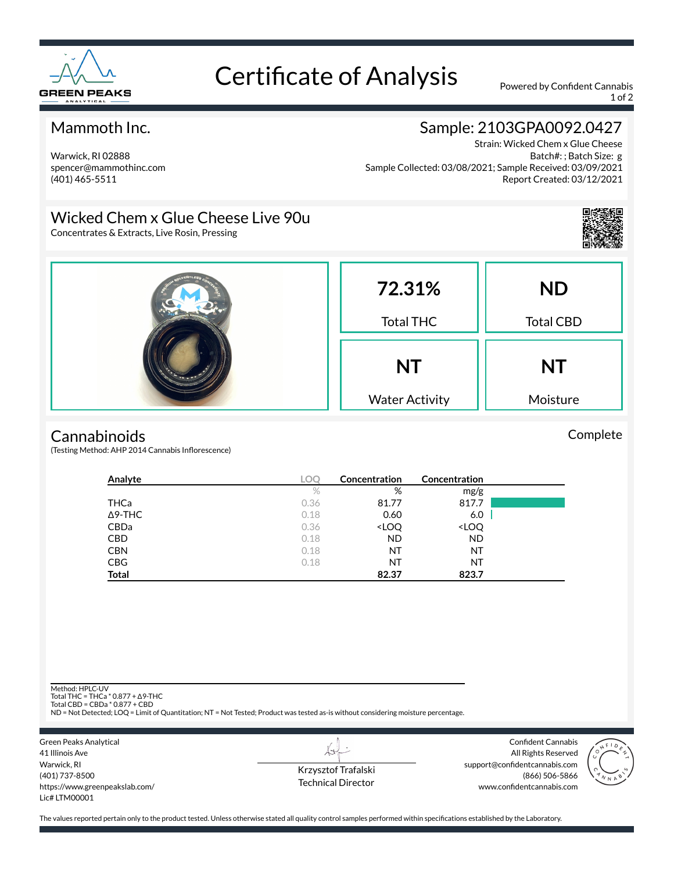

# Certificate of Analysis Powered by Confident Cannabis

1 of 2

#### Mammoth Inc.

Warwick, RI 02888 spencer@mammothinc.com (401) 465-5511

### Sample: 2103GPA0092.0427

Strain: Wicked Chem x Glue Cheese Batch#: ; Batch Size: g Sample Collected: 03/08/2021; Sample Received: 03/09/2021 Report Created: 03/12/2021

#### Wicked Chem x Glue Cheese Live 90u

Concentrates & Extracts, Live Rosin, Pressing



Complete



#### **Cannabinoids**

(Testing Method: AHP 2014 Cannabis Inflorescence)

| Analyte        | LOC  | Concentration                                            | Concentration                |  |
|----------------|------|----------------------------------------------------------|------------------------------|--|
|                | $\%$ | %                                                        | mg/g                         |  |
| THCa           | 0.36 | 81.77                                                    | 817.7                        |  |
| $\Delta$ 9-THC | 0.18 | 0.60                                                     | 6.0                          |  |
| <b>CBDa</b>    | 0.36 | <loq< td=""><td><loq< td=""><td></td></loq<></td></loq<> | <loq< td=""><td></td></loq<> |  |
| <b>CBD</b>     | 0.18 | <b>ND</b>                                                | <b>ND</b>                    |  |
| <b>CBN</b>     | 0.18 | NT                                                       | NT                           |  |
| <b>CBG</b>     | 0.18 | NT                                                       | NT                           |  |
| Total          |      | 82.37                                                    | 823.7                        |  |

Method: HPLC-UV

Total THC = THCa \* 0.877 + ∆9-THC Total CBD = CBDa \* 0.877 + CBD

ND = Not Detected; LOQ = Limit of Quantitation; NT = Not Tested; Product was tested as-is without considering moisture percentage.

| Green Peaks Analytical         |
|--------------------------------|
| 41 Illinois Ave                |
| Warwick, RI                    |
| (401) 737-8500                 |
| https://www.greenpeakslab.com/ |
| $l$ ic# $l$ TM00001            |
|                                |

Krzysztof Trafalski Technical Director

LI

Confident Cannabis All Rights Reserved support@confidentcannabis.com (866) 506-5866 www.confidentcannabis.com



The values reported pertain only to the product tested. Unless otherwise stated all quality control samples performed within specifications established by the Laboratory.